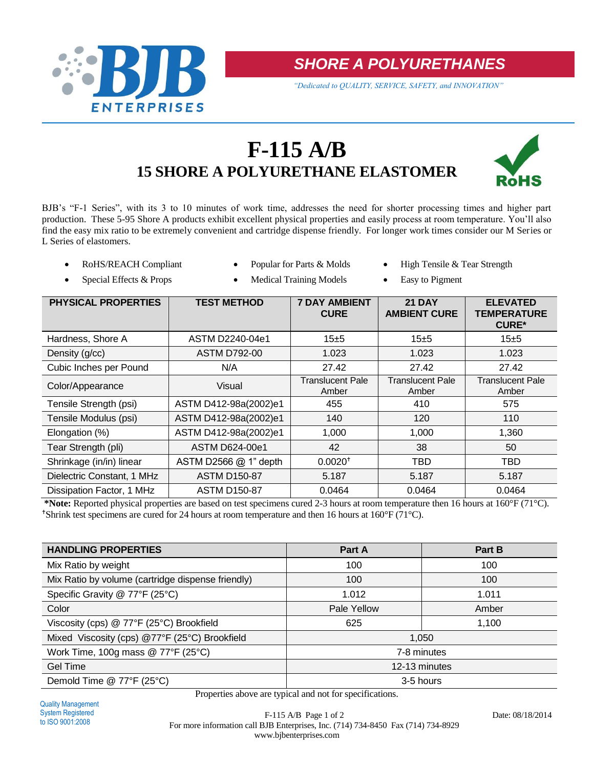

*SHORE A POLYURETHANES*

*"Dedicated to QUALITY, SERVICE, SAFETY, and INNOVATION"*

# **F-115 A/B 15 SHORE A POLYURETHANE ELASTOMER**



BJB's "F-1 Series", with its 3 to 10 minutes of work time, addresses the need for shorter processing times and higher part production. These 5-95 Shore A products exhibit excellent physical properties and easily process at room temperature. You'll also find the easy mix ratio to be extremely convenient and cartridge dispense friendly. For longer work times consider our M Series or L Series of elastomers.

- 
- 
- ROHS/REACH Compliant Popular for Parts & Molds High Tensile & Tear Strength
- Special Effects & Props Medical Training Models Easy to Pigment
	-

| PHYSICAL PROPERTIES        | <b>TEST METHOD</b>    | <b>7 DAY AMBIENT</b><br><b>CURE</b> | <b>21 DAY</b><br><b>AMBIENT CURE</b> | <b>ELEVATED</b><br><b>TEMPERATURE</b><br><b>CURE*</b> |
|----------------------------|-----------------------|-------------------------------------|--------------------------------------|-------------------------------------------------------|
| Hardness, Shore A          | ASTM D2240-04e1       | 15±5                                | 15±5                                 | 15±5                                                  |
| Density (g/cc)             | <b>ASTM D792-00</b>   | 1.023                               | 1.023                                | 1.023                                                 |
| Cubic Inches per Pound     | N/A                   | 27.42                               | 27.42                                | 27.42                                                 |
| Color/Appearance           | Visual                | Translucent Pale<br>Amber           | Translucent Pale<br>Amber            | <b>Translucent Pale</b><br>Amber                      |
| Tensile Strength (psi)     | ASTM D412-98a(2002)e1 | 455                                 | 410                                  | 575                                                   |
| Tensile Modulus (psi)      | ASTM D412-98a(2002)e1 | 140                                 | 120                                  | 110                                                   |
| Elongation (%)             | ASTM D412-98a(2002)e1 | 1,000                               | 1,000                                | 1,360                                                 |
| Tear Strength (pli)        | ASTM D624-00e1        | 42                                  | 38                                   | 50                                                    |
| Shrinkage (in/in) linear   | ASTM D2566 @ 1" depth | $0.0020$ <sup>+</sup>               | TBD                                  | TBD                                                   |
| Dielectric Constant, 1 MHz | <b>ASTM D150-87</b>   | 5.187                               | 5.187                                | 5.187                                                 |
| Dissipation Factor, 1 MHz  | <b>ASTM D150-87</b>   | 0.0464                              | 0.0464                               | 0.0464                                                |

**\*Note:** Reported physical properties are based on test specimens cured 2-3 hours at room temperature then 16 hours at 160°F (71°C). <sup> $\dagger$ </sup>Shrink test specimens are cured for 24 hours at room temperature and then 16 hours at 160°F (71°C).

| <b>HANDLING PROPERTIES</b>                        | Part A        | Part B |  |  |
|---------------------------------------------------|---------------|--------|--|--|
| Mix Ratio by weight                               | 100           | 100    |  |  |
| Mix Ratio by volume (cartridge dispense friendly) | 100           | 100    |  |  |
| Specific Gravity @ 77°F (25°C)                    | 1.012         | 1.011  |  |  |
| Color                                             | Pale Yellow   | Amber  |  |  |
| Viscosity (cps) @ 77°F (25°C) Brookfield          | 625           | 1,100  |  |  |
| Mixed Viscosity (cps) @77°F (25°C) Brookfield     | 1,050         |        |  |  |
| Work Time, 100g mass $@$ 77°F (25°C)              | 7-8 minutes   |        |  |  |
| <b>Gel Time</b>                                   | 12-13 minutes |        |  |  |
| Demold Time @ 77°F (25°C)                         | 3-5 hours     |        |  |  |

Properties above are typical and not for specifications.

F-115 A/B Page 1 of 2 Date: 08/18/2014 For more information call BJB Enterprises, Inc. (714) 734-8450 Fax (714) 734-8929 www.bjbenterprises.com